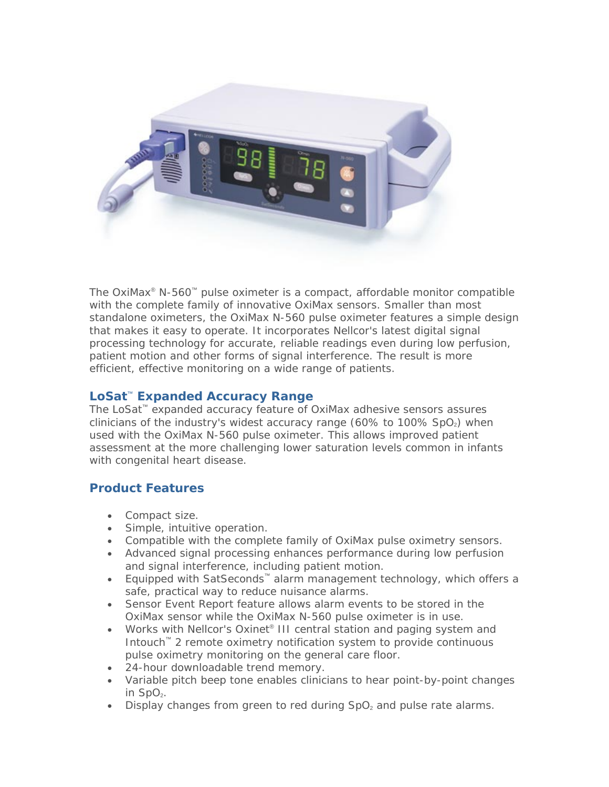

The *OxiMax*® *N-560*™ pulse oximeter is a compact, affordable monitor compatible with the complete family of innovative *OxiMax* sensors. Smaller than most standalone oximeters, the *OxiMax N-560* pulse oximeter features a simple design that makes it easy to operate. It incorporates Nellcor's latest digital signal processing technology for accurate, reliable readings even during low perfusion, patient motion and other forms of signal interference. The result is more efficient, effective monitoring on a wide range of patients.

## *LoSat*™ **Expanded Accuracy Range**

The *LoSat*™ expanded accuracy feature of *OxiMax* adhesive sensors assures clinicians of the industry's widest accuracy range (60% to 100%  $SpO<sub>2</sub>$ ) when used with the *OxiMax N-560* pulse oximeter. This allows improved patient assessment at the more challenging lower saturation levels common in infants with congenital heart disease.

## **Product Features**

- Compact size.
- Simple, intuitive operation.
- Compatible with the complete family of *OxiMax* pulse oximetry sensors.
- Advanced signal processing enhances performance during low perfusion and signal interference, including patient motion.
- Equipped with *SatSeconds*™ alarm management technology, which offers a safe, practical way to reduce nuisance alarms.
- Sensor Event Report feature allows alarm events to be stored in the *OxiMax* sensor while the *OxiMax N-560* pulse oximeter is in use.
- Works with Nellcor's *Oxinet*® *III* central station and paging system and *Intouch*™ 2 remote oximetry notification system to provide continuous pulse oximetry monitoring on the general care floor.
- 24-hour downloadable trend memory.
- Variable pitch beep tone enables clinicians to hear point-by-point changes in  $SpO<sub>2</sub>$ .
- Display changes from green to red during  $SpO<sub>2</sub>$  and pulse rate alarms.